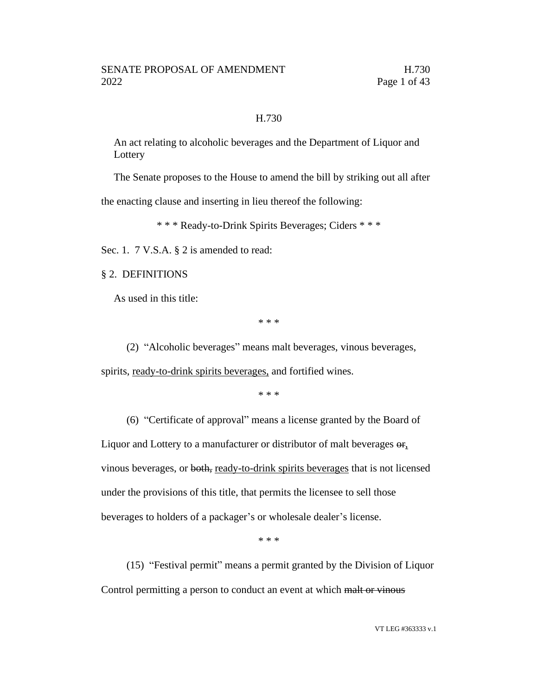# H.730

An act relating to alcoholic beverages and the Department of Liquor and Lottery

The Senate proposes to the House to amend the bill by striking out all after

the enacting clause and inserting in lieu thereof the following:

\* \* \* Ready-to-Drink Spirits Beverages; Ciders \* \* \*

Sec. 1. 7 V.S.A. § 2 is amended to read:

§ 2. DEFINITIONS

As used in this title:

\* \* \*

(2) "Alcoholic beverages" means malt beverages, vinous beverages, spirits, ready-to-drink spirits beverages, and fortified wines.

\* \* \*

(6) "Certificate of approval" means a license granted by the Board of Liquor and Lottery to a manufacturer or distributor of malt beverages  $\Theta$ <sub>r</sub>, vinous beverages, or both, ready-to-drink spirits beverages that is not licensed under the provisions of this title, that permits the licensee to sell those beverages to holders of a packager's or wholesale dealer's license.

\* \* \*

(15) "Festival permit" means a permit granted by the Division of Liquor Control permitting a person to conduct an event at which malt or vinous

VT LEG #363333 v.1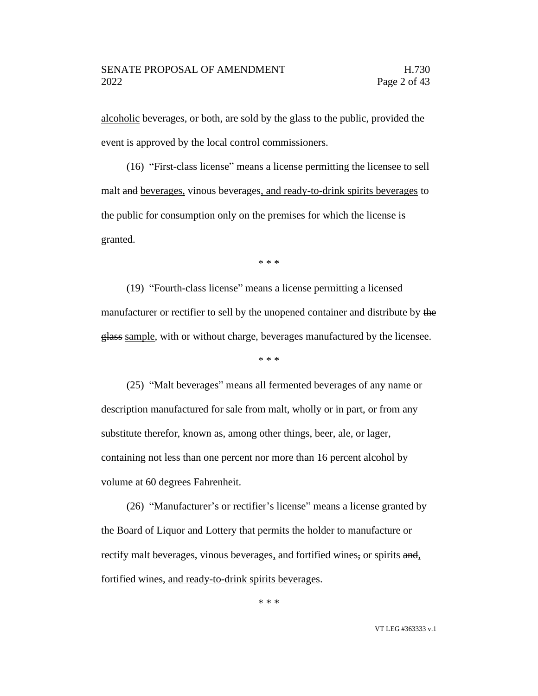alcoholic beverages, or both, are sold by the glass to the public, provided the event is approved by the local control commissioners.

(16) "First-class license" means a license permitting the licensee to sell malt and beverages, vinous beverages, and ready-to-drink spirits beverages to the public for consumption only on the premises for which the license is granted.

\* \* \*

(19) "Fourth-class license" means a license permitting a licensed manufacturer or rectifier to sell by the unopened container and distribute by the glass sample, with or without charge, beverages manufactured by the licensee.

\* \* \*

(25) "Malt beverages" means all fermented beverages of any name or description manufactured for sale from malt, wholly or in part, or from any substitute therefor, known as, among other things, beer, ale, or lager, containing not less than one percent nor more than 16 percent alcohol by volume at 60 degrees Fahrenheit.

(26) "Manufacturer's or rectifier's license" means a license granted by the Board of Liquor and Lottery that permits the holder to manufacture or rectify malt beverages, vinous beverages, and fortified wines, or spirits and, fortified wines, and ready-to-drink spirits beverages.

\* \* \*

VT LEG #363333 v.1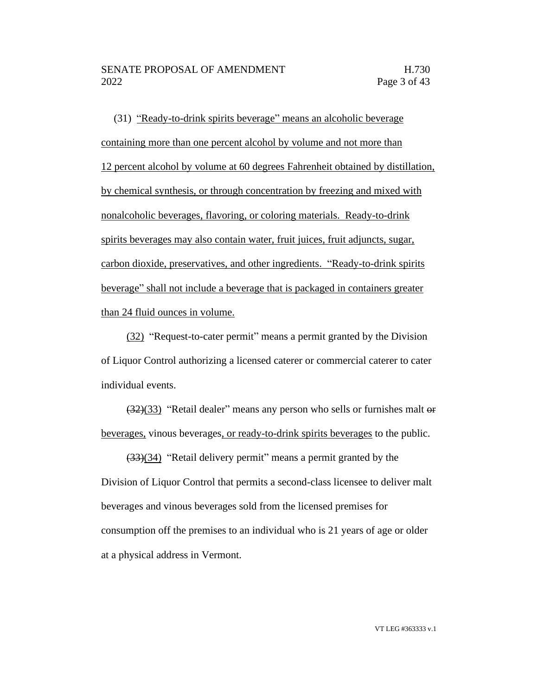(31) "Ready-to-drink spirits beverage" means an alcoholic beverage containing more than one percent alcohol by volume and not more than 12 percent alcohol by volume at 60 degrees Fahrenheit obtained by distillation, by chemical synthesis, or through concentration by freezing and mixed with nonalcoholic beverages, flavoring, or coloring materials. Ready-to-drink spirits beverages may also contain water, fruit juices, fruit adjuncts, sugar, carbon dioxide, preservatives, and other ingredients. "Ready-to-drink spirits beverage" shall not include a beverage that is packaged in containers greater than 24 fluid ounces in volume.

(32) "Request-to-cater permit" means a permit granted by the Division of Liquor Control authorizing a licensed caterer or commercial caterer to cater individual events.

(32)(33) "Retail dealer" means any person who sells or furnishes malt or beverages, vinous beverages, or ready-to-drink spirits beverages to the public.

(33)(34) "Retail delivery permit" means a permit granted by the Division of Liquor Control that permits a second-class licensee to deliver malt beverages and vinous beverages sold from the licensed premises for consumption off the premises to an individual who is 21 years of age or older at a physical address in Vermont.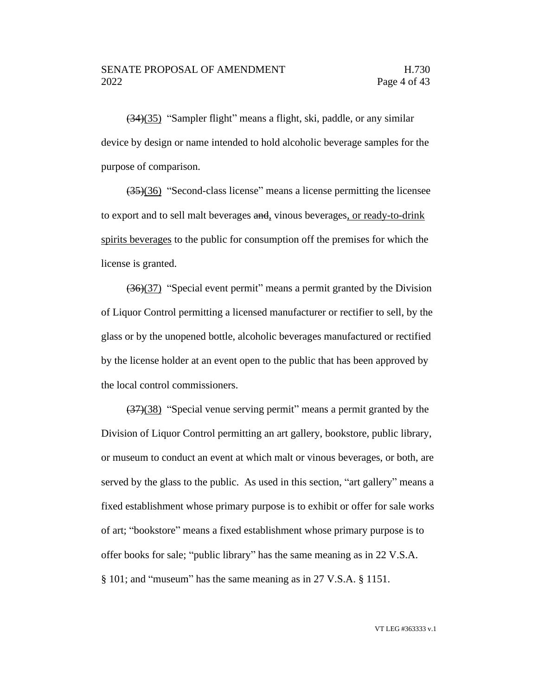(34)(35) "Sampler flight" means a flight, ski, paddle, or any similar device by design or name intended to hold alcoholic beverage samples for the purpose of comparison.

(35)(36) "Second-class license" means a license permitting the licensee to export and to sell malt beverages and, vinous beverages, or ready-to-drink spirits beverages to the public for consumption off the premises for which the license is granted.

(36)(37) "Special event permit" means a permit granted by the Division of Liquor Control permitting a licensed manufacturer or rectifier to sell, by the glass or by the unopened bottle, alcoholic beverages manufactured or rectified by the license holder at an event open to the public that has been approved by the local control commissioners.

(37)(38) "Special venue serving permit" means a permit granted by the Division of Liquor Control permitting an art gallery, bookstore, public library, or museum to conduct an event at which malt or vinous beverages, or both, are served by the glass to the public. As used in this section, "art gallery" means a fixed establishment whose primary purpose is to exhibit or offer for sale works of art; "bookstore" means a fixed establishment whose primary purpose is to offer books for sale; "public library" has the same meaning as in 22 V.S.A. § 101; and "museum" has the same meaning as in 27 V.S.A. § 1151.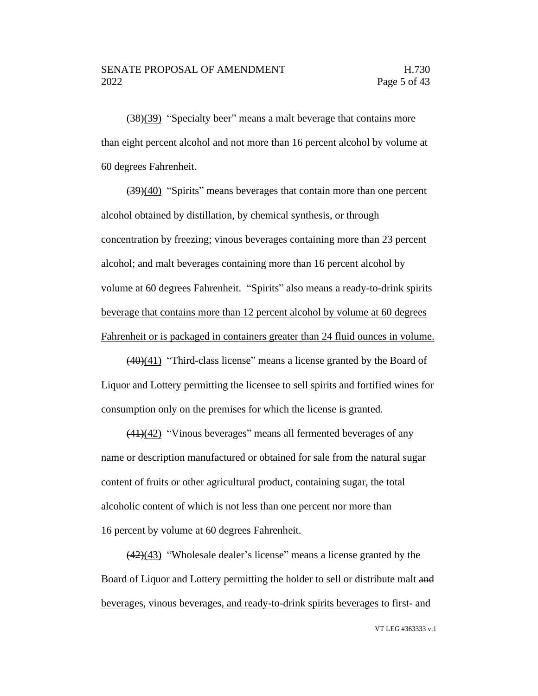(38)(39) "Specialty beer" means a malt beverage that contains more than eight percent alcohol and not more than 16 percent alcohol by volume at 60 degrees Fahrenheit.

(39)(40) "Spirits" means beverages that contain more than one percent alcohol obtained by distillation, by chemical synthesis, or through concentration by freezing; vinous beverages containing more than 23 percent alcohol; and malt beverages containing more than 16 percent alcohol by volume at 60 degrees Fahrenheit. "Spirits" also means a ready-to-drink spirits beverage that contains more than 12 percent alcohol by volume at 60 degrees Fahrenheit or is packaged in containers greater than 24 fluid ounces in volume.

(40)(41) "Third-class license" means a license granted by the Board of Liquor and Lottery permitting the licensee to sell spirits and fortified wines for consumption only on the premises for which the license is granted.

 $\left(\frac{(41)(42)}{41}\right)$  "Vinous beverages" means all fermented beverages of any name or description manufactured or obtained for sale from the natural sugar content of fruits or other agricultural product, containing sugar, the total alcoholic content of which is not less than one percent nor more than 16 percent by volume at 60 degrees Fahrenheit.

 $\left(\frac{42}{43}\right)$  "Wholesale dealer's license" means a license granted by the Board of Liquor and Lottery permitting the holder to sell or distribute malt and beverages, vinous beverages, and ready-to-drink spirits beverages to first- and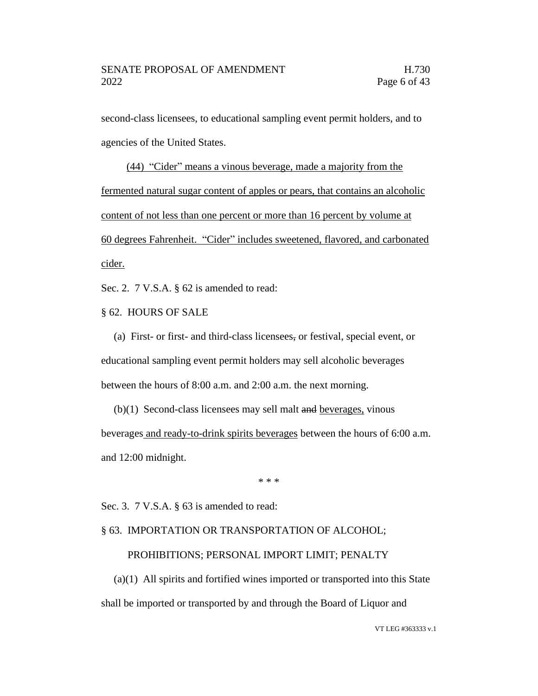second-class licensees, to educational sampling event permit holders, and to agencies of the United States.

(44) "Cider" means a vinous beverage, made a majority from the fermented natural sugar content of apples or pears, that contains an alcoholic content of not less than one percent or more than 16 percent by volume at 60 degrees Fahrenheit. "Cider" includes sweetened, flavored, and carbonated cider.

Sec. 2. 7 V.S.A. § 62 is amended to read:

§ 62. HOURS OF SALE

(a) First- or first- and third-class licensees, or festival, special event, or educational sampling event permit holders may sell alcoholic beverages between the hours of 8:00 a.m. and 2:00 a.m. the next morning.

 $(b)(1)$  Second-class licensees may sell malt and beverages, vinous beverages and ready-to-drink spirits beverages between the hours of 6:00 a.m. and 12:00 midnight.

\* \* \*

Sec. 3. 7 V.S.A. § 63 is amended to read:

# § 63. IMPORTATION OR TRANSPORTATION OF ALCOHOL;

# PROHIBITIONS; PERSONAL IMPORT LIMIT; PENALTY

(a)(1) All spirits and fortified wines imported or transported into this State shall be imported or transported by and through the Board of Liquor and

VT LEG #363333 v.1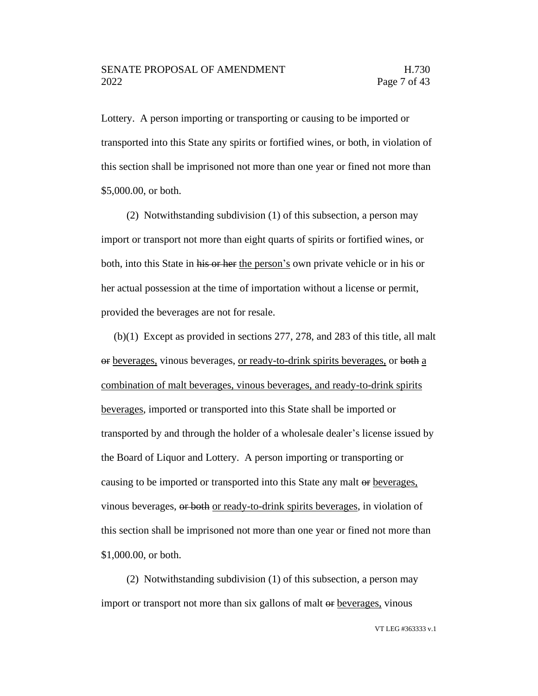Lottery. A person importing or transporting or causing to be imported or transported into this State any spirits or fortified wines, or both, in violation of this section shall be imprisoned not more than one year or fined not more than \$5,000.00, or both.

(2) Notwithstanding subdivision (1) of this subsection, a person may import or transport not more than eight quarts of spirits or fortified wines, or both, into this State in his or her the person's own private vehicle or in his or her actual possession at the time of importation without a license or permit, provided the beverages are not for resale.

(b)(1) Except as provided in sections 277, 278, and 283 of this title, all malt or beverages, vinous beverages, or ready-to-drink spirits beverages, or both a combination of malt beverages, vinous beverages, and ready-to-drink spirits beverages, imported or transported into this State shall be imported or transported by and through the holder of a wholesale dealer's license issued by the Board of Liquor and Lottery. A person importing or transporting or causing to be imported or transported into this State any malt or beverages, vinous beverages, or both or ready-to-drink spirits beverages, in violation of this section shall be imprisoned not more than one year or fined not more than \$1,000.00, or both.

(2) Notwithstanding subdivision (1) of this subsection, a person may import or transport not more than six gallons of malt  $\Theta$  beverages, vinous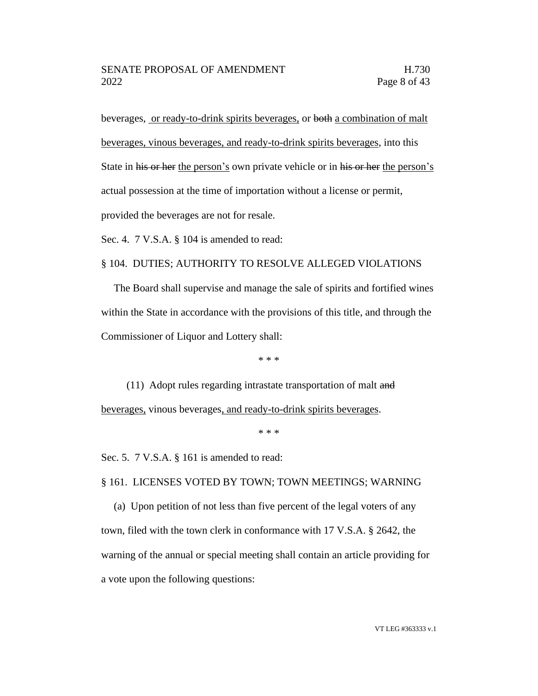beverages, or ready-to-drink spirits beverages, or both a combination of malt beverages, vinous beverages, and ready-to-drink spirits beverages, into this State in his or her the person's own private vehicle or in his or her the person's actual possession at the time of importation without a license or permit, provided the beverages are not for resale.

Sec. 4. 7 V.S.A. § 104 is amended to read:

# § 104. DUTIES; AUTHORITY TO RESOLVE ALLEGED VIOLATIONS

The Board shall supervise and manage the sale of spirits and fortified wines within the State in accordance with the provisions of this title, and through the Commissioner of Liquor and Lottery shall:

\* \* \*

(11) Adopt rules regarding intrastate transportation of malt and beverages, vinous beverages, and ready-to-drink spirits beverages.

\* \* \*

Sec. 5. 7 V.S.A. § 161 is amended to read:

§ 161. LICENSES VOTED BY TOWN; TOWN MEETINGS; WARNING

(a) Upon petition of not less than five percent of the legal voters of any town, filed with the town clerk in conformance with 17 V.S.A. § 2642, the warning of the annual or special meeting shall contain an article providing for a vote upon the following questions: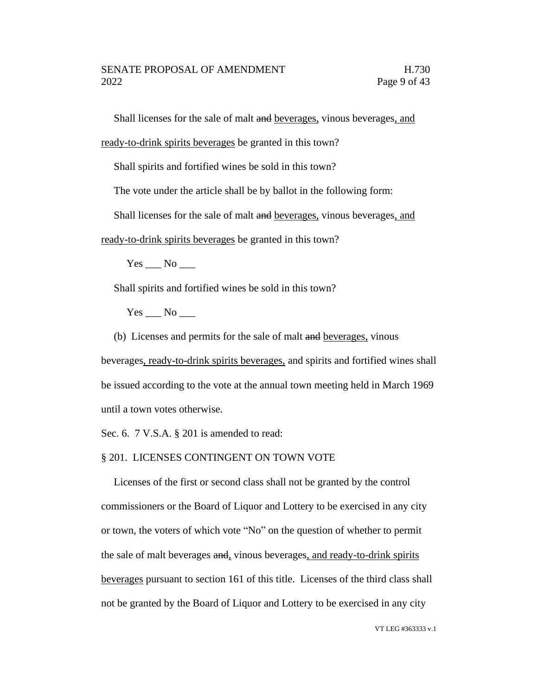Shall licenses for the sale of malt and beverages, vinous beverages, and

ready-to-drink spirits beverages be granted in this town?

Shall spirits and fortified wines be sold in this town?

The vote under the article shall be by ballot in the following form:

Shall licenses for the sale of malt and beverages, vinous beverages, and

ready-to-drink spirits beverages be granted in this town?

 $Yes$  No  $\_\_$ 

Shall spirits and fortified wines be sold in this town?

Yes No

(b) Licenses and permits for the sale of malt and beverages, vinous

beverages, ready-to-drink spirits beverages, and spirits and fortified wines shall be issued according to the vote at the annual town meeting held in March 1969 until a town votes otherwise.

Sec. 6. 7 V.S.A. § 201 is amended to read:

§ 201. LICENSES CONTINGENT ON TOWN VOTE

Licenses of the first or second class shall not be granted by the control commissioners or the Board of Liquor and Lottery to be exercised in any city or town, the voters of which vote "No" on the question of whether to permit the sale of malt beverages and, vinous beverages, and ready-to-drink spirits beverages pursuant to section 161 of this title. Licenses of the third class shall not be granted by the Board of Liquor and Lottery to be exercised in any city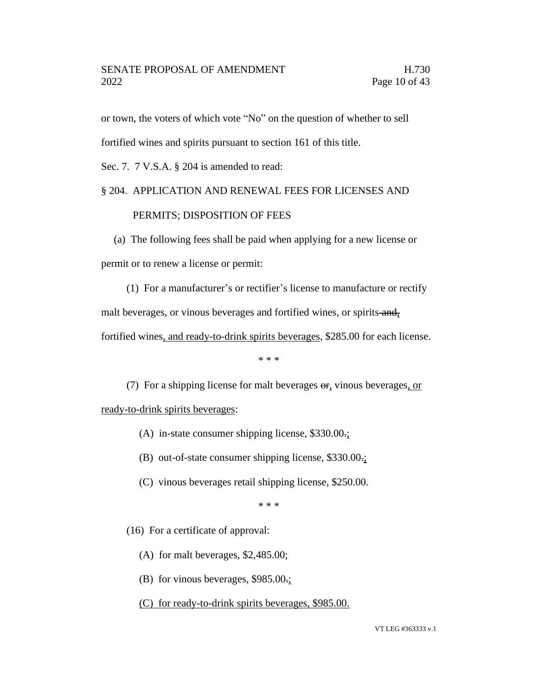or town, the voters of which vote "No" on the question of whether to sell

fortified wines and spirits pursuant to section 161 of this title.

Sec. 7. 7 V.S.A. § 204 is amended to read:

# § 204. APPLICATION AND RENEWAL FEES FOR LICENSES AND

# PERMITS; DISPOSITION OF FEES

(a) The following fees shall be paid when applying for a new license or permit or to renew a license or permit:

(1) For a manufacturer's or rectifier's license to manufacture or rectify malt beverages, or vinous beverages and fortified wines, or spirits and, fortified wines, and ready-to-drink spirits beverages, \$285.00 for each license.

\* \* \*

(7) For a shipping license for malt beverages  $\Theta$ , vinous beverages, or

ready-to-drink spirits beverages:

- (A) in-state consumer shipping license, \$330.00.;
- (B) out-of-state consumer shipping license, \$330.00.;
- (C) vinous beverages retail shipping license, \$250.00.

\* \* \*

- (16) For a certificate of approval:
	- (A) for malt beverages, \$2,485.00;
	- (B) for vinous beverages, \$985.00.;
	- (C) for ready-to-drink spirits beverages, \$985.00.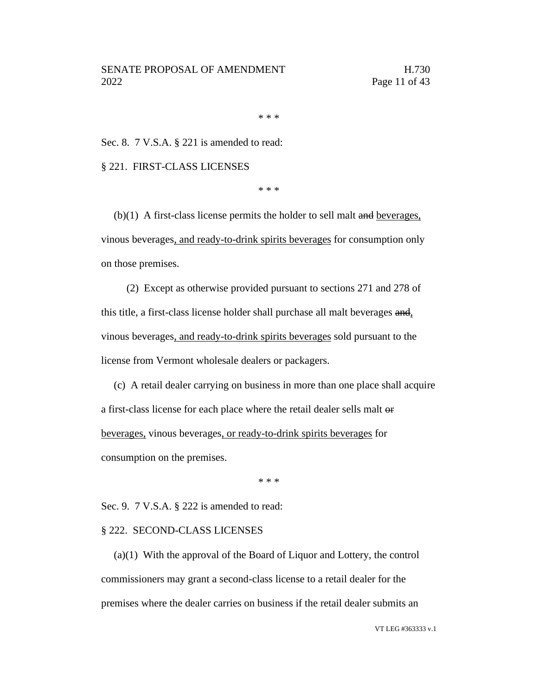\* \* \*

Sec. 8. 7 V.S.A. § 221 is amended to read:

§ 221. FIRST-CLASS LICENSES

\* \* \*

 $(b)(1)$  A first-class license permits the holder to sell malt and beverages, vinous beverages, and ready-to-drink spirits beverages for consumption only on those premises.

(2) Except as otherwise provided pursuant to sections 271 and 278 of this title, a first-class license holder shall purchase all malt beverages and, vinous beverages, and ready-to-drink spirits beverages sold pursuant to the license from Vermont wholesale dealers or packagers.

(c) A retail dealer carrying on business in more than one place shall acquire a first-class license for each place where the retail dealer sells malt or beverages, vinous beverages, or ready-to-drink spirits beverages for consumption on the premises.

\* \* \*

Sec. 9. 7 V.S.A. § 222 is amended to read:

#### § 222. SECOND-CLASS LICENSES

(a)(1) With the approval of the Board of Liquor and Lottery, the control commissioners may grant a second-class license to a retail dealer for the premises where the dealer carries on business if the retail dealer submits an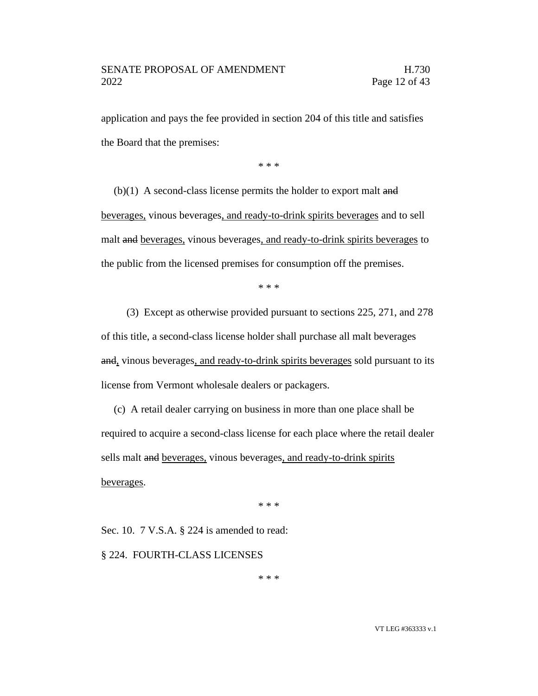application and pays the fee provided in section 204 of this title and satisfies the Board that the premises:

\* \* \*

 $(b)(1)$  A second-class license permits the holder to export malt and beverages, vinous beverages, and ready-to-drink spirits beverages and to sell malt and beverages, vinous beverages, and ready-to-drink spirits beverages to the public from the licensed premises for consumption off the premises.

\* \* \*

(3) Except as otherwise provided pursuant to sections 225, 271, and 278 of this title, a second-class license holder shall purchase all malt beverages and, vinous beverages, and ready-to-drink spirits beverages sold pursuant to its license from Vermont wholesale dealers or packagers.

(c) A retail dealer carrying on business in more than one place shall be required to acquire a second-class license for each place where the retail dealer sells malt and beverages, vinous beverages, and ready-to-drink spirits beverages.

\* \* \*

Sec. 10. 7 V.S.A. § 224 is amended to read:

§ 224. FOURTH-CLASS LICENSES

\* \* \*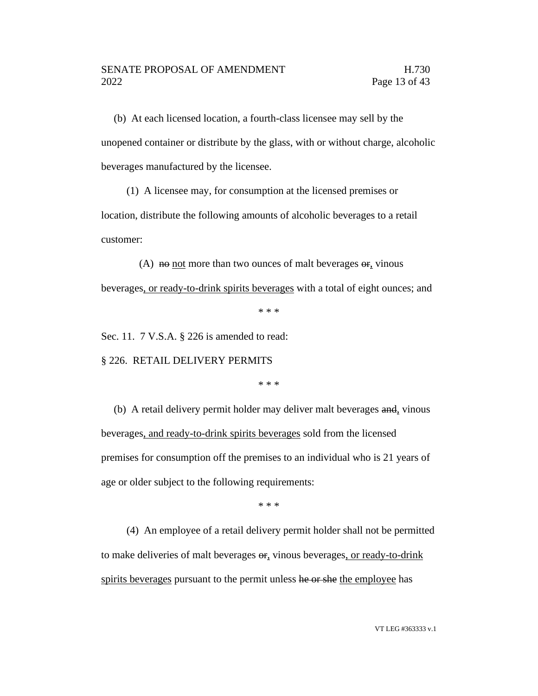(b) At each licensed location, a fourth-class licensee may sell by the unopened container or distribute by the glass, with or without charge, alcoholic beverages manufactured by the licensee.

(1) A licensee may, for consumption at the licensed premises or location, distribute the following amounts of alcoholic beverages to a retail customer:

(A)  $\theta$  not more than two ounces of malt beverages  $\theta$ , vinous beverages, or ready-to-drink spirits beverages with a total of eight ounces; and

\* \* \*

Sec. 11. 7 V.S.A. § 226 is amended to read:

§ 226. RETAIL DELIVERY PERMITS

\* \* \*

(b) A retail delivery permit holder may deliver malt beverages and, vinous beverages, and ready-to-drink spirits beverages sold from the licensed premises for consumption off the premises to an individual who is 21 years of age or older subject to the following requirements:

\* \* \*

(4) An employee of a retail delivery permit holder shall not be permitted to make deliveries of malt beverages  $\Theta$ <sub>r</sub>, vinous beverages, or ready-to-drink spirits beverages pursuant to the permit unless he or she the employee has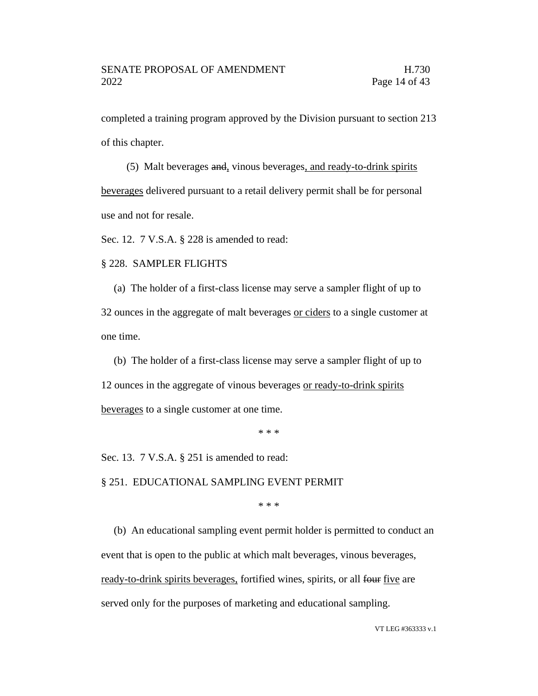completed a training program approved by the Division pursuant to section 213 of this chapter.

(5) Malt beverages and, vinous beverages, and ready-to-drink spirits beverages delivered pursuant to a retail delivery permit shall be for personal use and not for resale.

Sec. 12. 7 V.S.A. § 228 is amended to read:

#### § 228. SAMPLER FLIGHTS

(a) The holder of a first-class license may serve a sampler flight of up to 32 ounces in the aggregate of malt beverages or ciders to a single customer at one time.

(b) The holder of a first-class license may serve a sampler flight of up to 12 ounces in the aggregate of vinous beverages or ready-to-drink spirits beverages to a single customer at one time.

\* \* \*

Sec. 13. 7 V.S.A. § 251 is amended to read:

§ 251. EDUCATIONAL SAMPLING EVENT PERMIT

\* \* \*

(b) An educational sampling event permit holder is permitted to conduct an event that is open to the public at which malt beverages, vinous beverages, ready-to-drink spirits beverages, fortified wines, spirits, or all four five are served only for the purposes of marketing and educational sampling.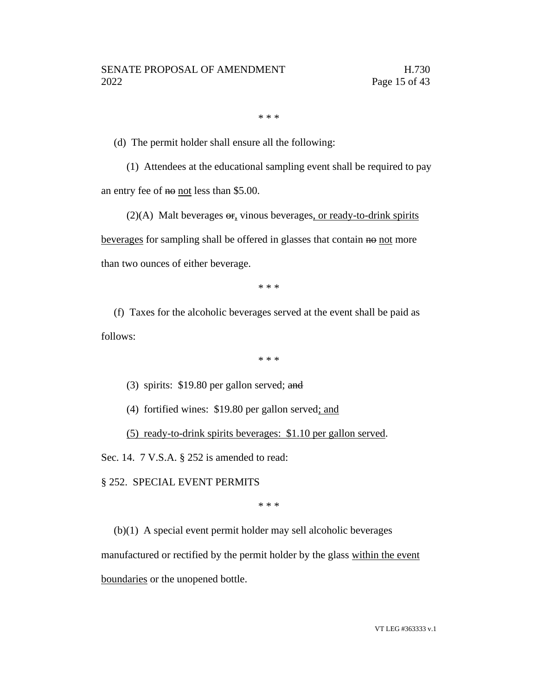\* \* \*

(d) The permit holder shall ensure all the following:

(1) Attendees at the educational sampling event shall be required to pay an entry fee of no not less than \$5.00.

 $(2)(A)$  Malt beverages  $\Theta$ , vinous beverages, or ready-to-drink spirits beverages for sampling shall be offered in glasses that contain no not more than two ounces of either beverage.

\* \* \*

(f) Taxes for the alcoholic beverages served at the event shall be paid as follows:

\* \* \*

(3) spirits: \$19.80 per gallon served; and

(4) fortified wines: \$19.80 per gallon served; and

(5) ready-to-drink spirits beverages: \$1.10 per gallon served.

Sec. 14. 7 V.S.A. § 252 is amended to read:

# § 252. SPECIAL EVENT PERMITS

\* \* \*

(b)(1) A special event permit holder may sell alcoholic beverages

manufactured or rectified by the permit holder by the glass within the event

boundaries or the unopened bottle.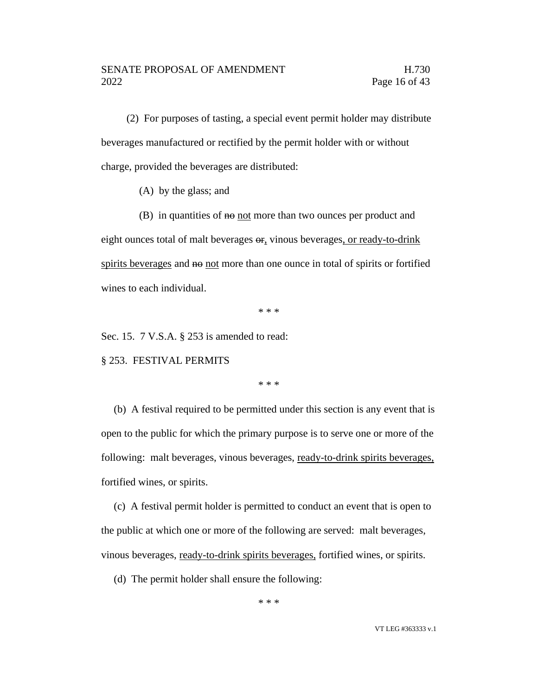(2) For purposes of tasting, a special event permit holder may distribute beverages manufactured or rectified by the permit holder with or without charge, provided the beverages are distributed:

(A) by the glass; and

 $(B)$  in quantities of  $H\Theta$  not more than two ounces per product and eight ounces total of malt beverages or, vinous beverages, or ready-to-drink spirits beverages and no not more than one ounce in total of spirits or fortified wines to each individual.

\* \* \*

Sec. 15. 7 V.S.A. § 253 is amended to read:

§ 253. FESTIVAL PERMITS

\* \* \*

(b) A festival required to be permitted under this section is any event that is open to the public for which the primary purpose is to serve one or more of the following: malt beverages, vinous beverages, ready-to-drink spirits beverages, fortified wines, or spirits.

(c) A festival permit holder is permitted to conduct an event that is open to the public at which one or more of the following are served: malt beverages, vinous beverages, ready-to-drink spirits beverages, fortified wines, or spirits.

(d) The permit holder shall ensure the following: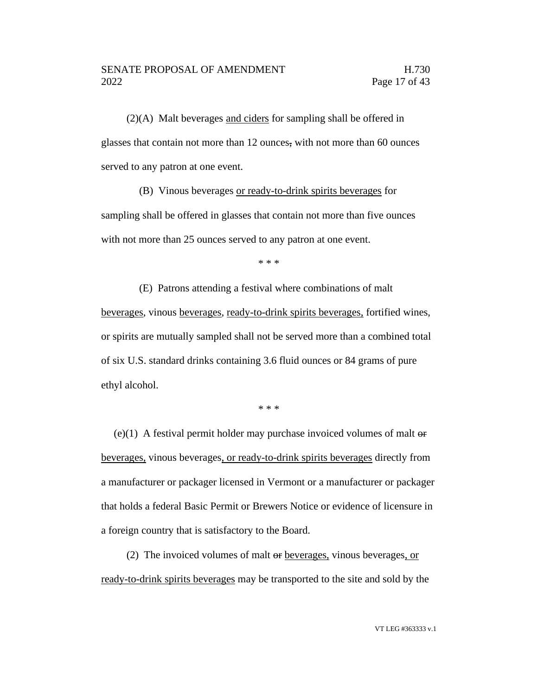(2)(A) Malt beverages and ciders for sampling shall be offered in glasses that contain not more than 12 ounces, with not more than 60 ounces served to any patron at one event.

(B) Vinous beverages or ready-to-drink spirits beverages for sampling shall be offered in glasses that contain not more than five ounces with not more than 25 ounces served to any patron at one event.

\* \* \*

(E) Patrons attending a festival where combinations of malt beverages, vinous beverages, ready-to-drink spirits beverages, fortified wines, or spirits are mutually sampled shall not be served more than a combined total of six U.S. standard drinks containing 3.6 fluid ounces or 84 grams of pure ethyl alcohol.

\* \* \*

(e)(1) A festival permit holder may purchase invoiced volumes of malt  $\Theta$ beverages, vinous beverages, or ready-to-drink spirits beverages directly from a manufacturer or packager licensed in Vermont or a manufacturer or packager that holds a federal Basic Permit or Brewers Notice or evidence of licensure in a foreign country that is satisfactory to the Board.

(2) The invoiced volumes of malt or beverages, vinous beverages, or ready-to-drink spirits beverages may be transported to the site and sold by the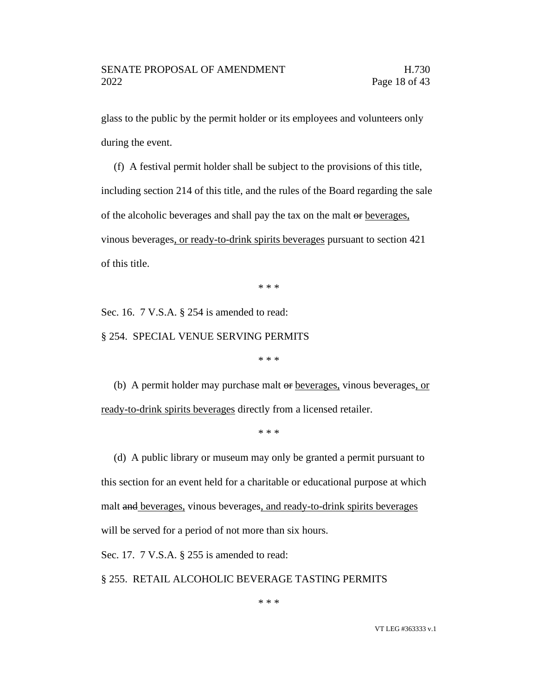glass to the public by the permit holder or its employees and volunteers only during the event.

(f) A festival permit holder shall be subject to the provisions of this title, including section 214 of this title, and the rules of the Board regarding the sale of the alcoholic beverages and shall pay the tax on the malt or beverages, vinous beverages, or ready-to-drink spirits beverages pursuant to section 421 of this title.

\* \* \*

Sec. 16. 7 V.S.A. § 254 is amended to read:

§ 254. SPECIAL VENUE SERVING PERMITS

\* \* \*

(b) A permit holder may purchase malt or beverages, vinous beverages, or ready-to-drink spirits beverages directly from a licensed retailer.

\* \* \*

(d) A public library or museum may only be granted a permit pursuant to this section for an event held for a charitable or educational purpose at which malt and beverages, vinous beverages, and ready-to-drink spirits beverages will be served for a period of not more than six hours.

Sec. 17. 7 V.S.A. § 255 is amended to read:

§ 255. RETAIL ALCOHOLIC BEVERAGE TASTING PERMITS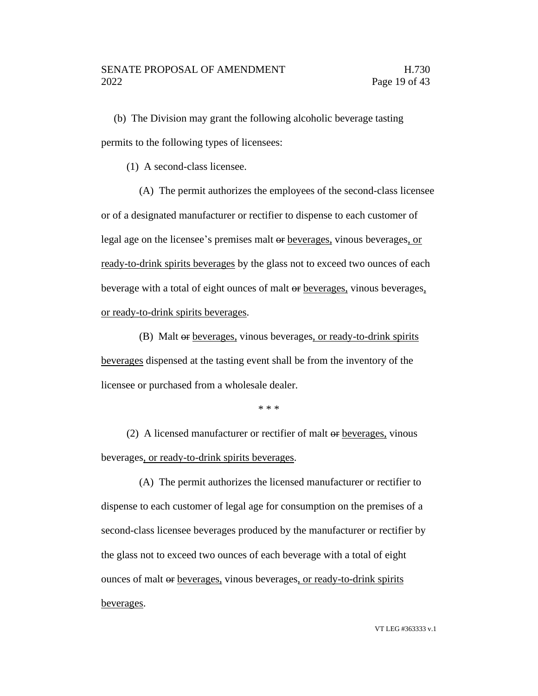(b) The Division may grant the following alcoholic beverage tasting permits to the following types of licensees:

(1) A second-class licensee.

(A) The permit authorizes the employees of the second-class licensee or of a designated manufacturer or rectifier to dispense to each customer of legal age on the licensee's premises malt or beverages, vinous beverages, or ready-to-drink spirits beverages by the glass not to exceed two ounces of each beverage with a total of eight ounces of malt or beverages, vinous beverages, or ready-to-drink spirits beverages.

(B) Malt or beverages, vinous beverages, or ready-to-drink spirits beverages dispensed at the tasting event shall be from the inventory of the licensee or purchased from a wholesale dealer.

\* \* \*

(2) A licensed manufacturer or rectifier of malt or beverages, vinous beverages, or ready-to-drink spirits beverages.

(A) The permit authorizes the licensed manufacturer or rectifier to dispense to each customer of legal age for consumption on the premises of a second-class licensee beverages produced by the manufacturer or rectifier by the glass not to exceed two ounces of each beverage with a total of eight ounces of malt or beverages, vinous beverages, or ready-to-drink spirits beverages.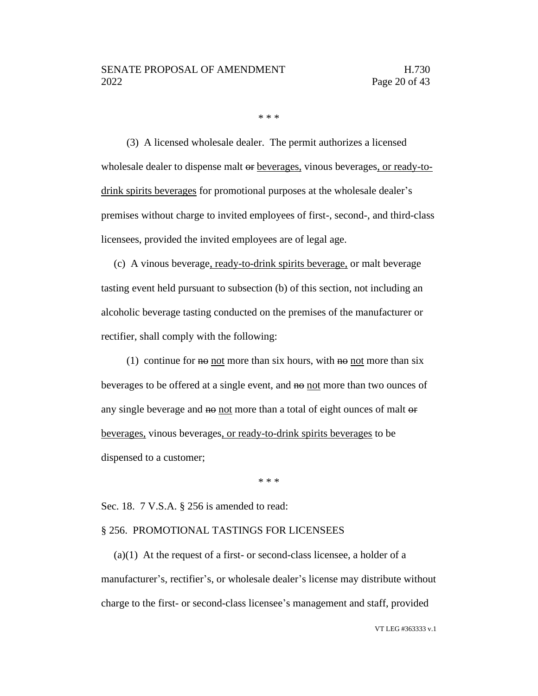\* \* \*

(3) A licensed wholesale dealer. The permit authorizes a licensed wholesale dealer to dispense malt or beverages, vinous beverages, or ready-todrink spirits beverages for promotional purposes at the wholesale dealer's premises without charge to invited employees of first-, second-, and third-class licensees, provided the invited employees are of legal age.

(c) A vinous beverage, ready-to-drink spirits beverage, or malt beverage tasting event held pursuant to subsection (b) of this section, not including an alcoholic beverage tasting conducted on the premises of the manufacturer or rectifier, shall comply with the following:

(1) continue for  $\theta$  not more than six hours, with  $\theta$  not more than six beverages to be offered at a single event, and no not more than two ounces of any single beverage and not more than a total of eight ounces of malt or beverages, vinous beverages, or ready-to-drink spirits beverages to be dispensed to a customer;

\* \* \*

Sec. 18. 7 V.S.A. § 256 is amended to read:

#### § 256. PROMOTIONAL TASTINGS FOR LICENSEES

 $(a)(1)$  At the request of a first- or second-class licensee, a holder of a manufacturer's, rectifier's, or wholesale dealer's license may distribute without charge to the first- or second-class licensee's management and staff, provided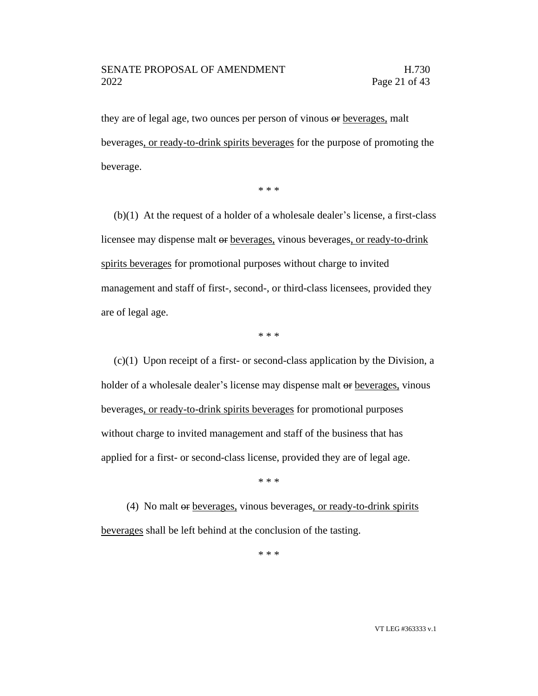# SENATE PROPOSAL OF AMENDMENT H.730 2022 Page 21 of 43

they are of legal age, two ounces per person of vinous  $\Theta$  beverages, malt beverages, or ready-to-drink spirits beverages for the purpose of promoting the beverage.

\* \* \*

(b)(1) At the request of a holder of a wholesale dealer's license, a first-class licensee may dispense malt or beverages, vinous beverages, or ready-to-drink spirits beverages for promotional purposes without charge to invited management and staff of first-, second-, or third-class licensees, provided they are of legal age.

\* \* \*

 $(c)(1)$  Upon receipt of a first- or second-class application by the Division, a holder of a wholesale dealer's license may dispense malt or beverages, vinous beverages, or ready-to-drink spirits beverages for promotional purposes without charge to invited management and staff of the business that has applied for a first- or second-class license, provided they are of legal age.

\* \* \*

(4) No malt or beverages, vinous beverages, or ready-to-drink spirits beverages shall be left behind at the conclusion of the tasting.

\* \* \*

VT LEG #363333 v.1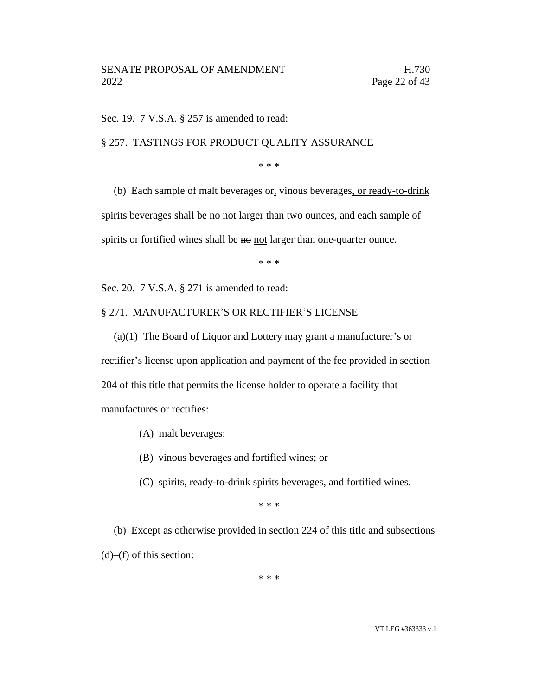Sec. 19. 7 V.S.A. § 257 is amended to read:

### § 257. TASTINGS FOR PRODUCT QUALITY ASSURANCE

\* \* \*

(b) Each sample of malt beverages or, vinous beverages, or ready-to-drink spirits beverages shall be no not larger than two ounces, and each sample of spirits or fortified wines shall be no not larger than one-quarter ounce.

\* \* \*

Sec. 20. 7 V.S.A. § 271 is amended to read:

# § 271. MANUFACTURER'S OR RECTIFIER'S LICENSE

(a)(1) The Board of Liquor and Lottery may grant a manufacturer's or rectifier's license upon application and payment of the fee provided in section 204 of this title that permits the license holder to operate a facility that manufactures or rectifies:

- (A) malt beverages;
- (B) vinous beverages and fortified wines; or
- (C) spirits, ready-to-drink spirits beverages, and fortified wines.

\* \* \*

(b) Except as otherwise provided in section 224 of this title and subsections  $(d)$ – $(f)$  of this section:

\* \* \*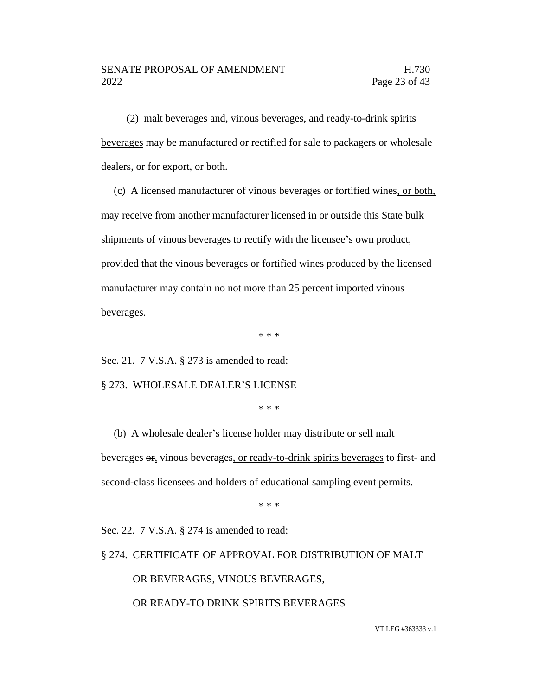(2) malt beverages and, vinous beverages, and ready-to-drink spirits beverages may be manufactured or rectified for sale to packagers or wholesale dealers, or for export, or both.

(c) A licensed manufacturer of vinous beverages or fortified wines, or both, may receive from another manufacturer licensed in or outside this State bulk shipments of vinous beverages to rectify with the licensee's own product, provided that the vinous beverages or fortified wines produced by the licensed manufacturer may contain no not more than 25 percent imported vinous beverages.

\* \* \*

Sec. 21. 7 V.S.A. § 273 is amended to read:

§ 273. WHOLESALE DEALER'S LICENSE

\* \* \*

(b) A wholesale dealer's license holder may distribute or sell malt beverages  $\Theta$ <sub>r</sub>, vinous beverages, or ready-to-drink spirits beverages to first- and second-class licensees and holders of educational sampling event permits.

\* \* \*

Sec. 22. 7 V.S.A. § 274 is amended to read:

§ 274. CERTIFICATE OF APPROVAL FOR DISTRIBUTION OF MALT

# OR BEVERAGES, VINOUS BEVERAGES,

# OR READY-TO DRINK SPIRITS BEVERAGES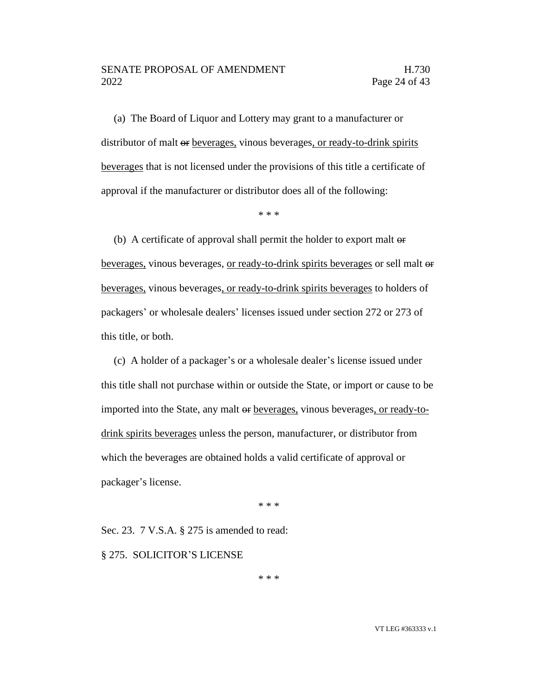# SENATE PROPOSAL OF AMENDMENT FRAMENTIES IN THE H.730 2022 Page 24 of 43

(a) The Board of Liquor and Lottery may grant to a manufacturer or distributor of malt or beverages, vinous beverages, or ready-to-drink spirits beverages that is not licensed under the provisions of this title a certificate of approval if the manufacturer or distributor does all of the following:

\* \* \*

(b) A certificate of approval shall permit the holder to export malt or beverages, vinous beverages, or ready-to-drink spirits beverages or sell malt or beverages, vinous beverages, or ready-to-drink spirits beverages to holders of packagers' or wholesale dealers' licenses issued under section 272 or 273 of this title, or both.

(c) A holder of a packager's or a wholesale dealer's license issued under this title shall not purchase within or outside the State, or import or cause to be imported into the State, any malt or beverages, vinous beverages, or ready-todrink spirits beverages unless the person, manufacturer, or distributor from which the beverages are obtained holds a valid certificate of approval or packager's license.

\* \* \*

Sec. 23. 7 V.S.A. § 275 is amended to read:

§ 275. SOLICITOR'S LICENSE

\* \* \*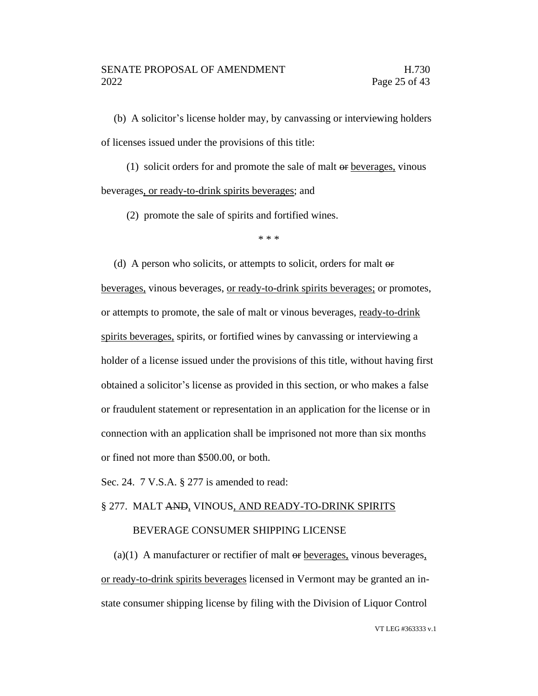(b) A solicitor's license holder may, by canvassing or interviewing holders of licenses issued under the provisions of this title:

(1) solicit orders for and promote the sale of malt or beverages, vinous beverages, or ready-to-drink spirits beverages; and

(2) promote the sale of spirits and fortified wines.

\* \* \*

(d) A person who solicits, or attempts to solicit, orders for malt or beverages, vinous beverages, or ready-to-drink spirits beverages; or promotes, or attempts to promote, the sale of malt or vinous beverages, ready-to-drink spirits beverages, spirits, or fortified wines by canvassing or interviewing a holder of a license issued under the provisions of this title, without having first obtained a solicitor's license as provided in this section, or who makes a false or fraudulent statement or representation in an application for the license or in connection with an application shall be imprisoned not more than six months or fined not more than \$500.00, or both.

Sec. 24. 7 V.S.A. § 277 is amended to read:

# § 277. MALT AND, VINOUS, AND READY-TO-DRINK SPIRITS

# BEVERAGE CONSUMER SHIPPING LICENSE

(a)(1) A manufacturer or rectifier of malt  $\Theta$  beverages, vinous beverages, or ready-to-drink spirits beverages licensed in Vermont may be granted an instate consumer shipping license by filing with the Division of Liquor Control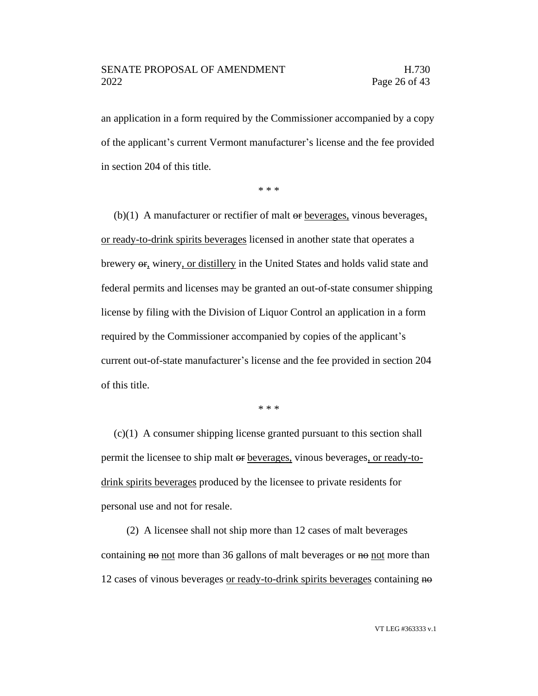an application in a form required by the Commissioner accompanied by a copy of the applicant's current Vermont manufacturer's license and the fee provided in section 204 of this title.

\* \* \*

 $(b)(1)$  A manufacturer or rectifier of malt  $\Theta$  beverages, vinous beverages, or ready-to-drink spirits beverages licensed in another state that operates a brewery  $\Theta$ <sub>r</sub>, winery, or distillery in the United States and holds valid state and federal permits and licenses may be granted an out-of-state consumer shipping license by filing with the Division of Liquor Control an application in a form required by the Commissioner accompanied by copies of the applicant's current out-of-state manufacturer's license and the fee provided in section 204 of this title.

\* \* \*

 $(c)(1)$  A consumer shipping license granted pursuant to this section shall permit the licensee to ship malt or beverages, vinous beverages, or ready-todrink spirits beverages produced by the licensee to private residents for personal use and not for resale.

(2) A licensee shall not ship more than 12 cases of malt beverages containing no not more than 36 gallons of malt beverages or no not more than 12 cases of vinous beverages or ready-to-drink spirits beverages containing no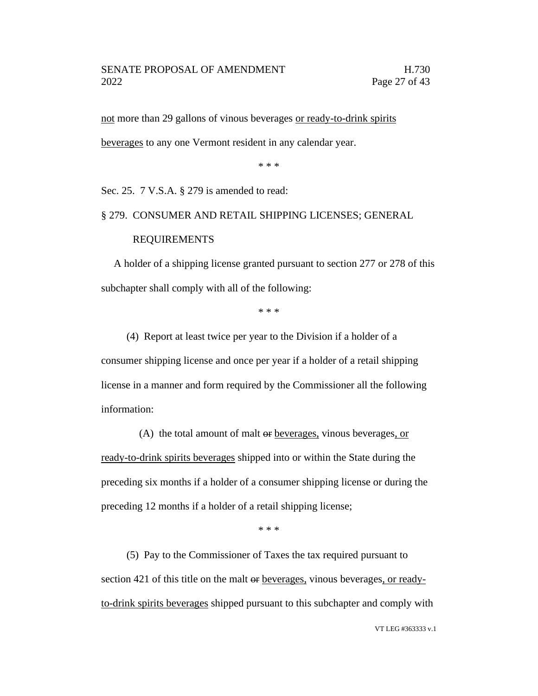not more than 29 gallons of vinous beverages or ready-to-drink spirits

beverages to any one Vermont resident in any calendar year.

\* \* \*

Sec. 25. 7 V.S.A. § 279 is amended to read:

§ 279. CONSUMER AND RETAIL SHIPPING LICENSES; GENERAL

# REQUIREMENTS

A holder of a shipping license granted pursuant to section 277 or 278 of this subchapter shall comply with all of the following:

\* \* \*

(4) Report at least twice per year to the Division if a holder of a consumer shipping license and once per year if a holder of a retail shipping license in a manner and form required by the Commissioner all the following information:

(A) the total amount of malt  $\Theta$  beverages, vinous beverages, or ready-to-drink spirits beverages shipped into or within the State during the preceding six months if a holder of a consumer shipping license or during the preceding 12 months if a holder of a retail shipping license;

\* \* \*

(5) Pay to the Commissioner of Taxes the tax required pursuant to section 421 of this title on the malt or <u>beverages</u>, vinous beverages, or readyto-drink spirits beverages shipped pursuant to this subchapter and comply with

VT LEG #363333 v.1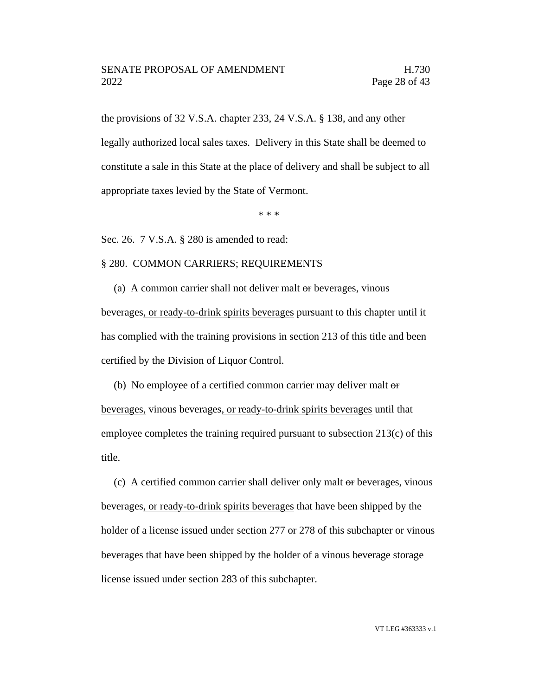the provisions of 32 V.S.A. chapter 233, 24 V.S.A. § 138, and any other legally authorized local sales taxes. Delivery in this State shall be deemed to constitute a sale in this State at the place of delivery and shall be subject to all appropriate taxes levied by the State of Vermont.

\* \* \*

Sec. 26. 7 V.S.A. § 280 is amended to read:

### § 280. COMMON CARRIERS; REQUIREMENTS

(a) A common carrier shall not deliver malt or beverages, vinous beverages, or ready-to-drink spirits beverages pursuant to this chapter until it has complied with the training provisions in section 213 of this title and been certified by the Division of Liquor Control.

(b) No employee of a certified common carrier may deliver malt  $\Theta$ beverages, vinous beverages, or ready-to-drink spirits beverages until that employee completes the training required pursuant to subsection 213(c) of this title.

(c) A certified common carrier shall deliver only malt or beverages, vinous beverages, or ready-to-drink spirits beverages that have been shipped by the holder of a license issued under section 277 or 278 of this subchapter or vinous beverages that have been shipped by the holder of a vinous beverage storage license issued under section 283 of this subchapter.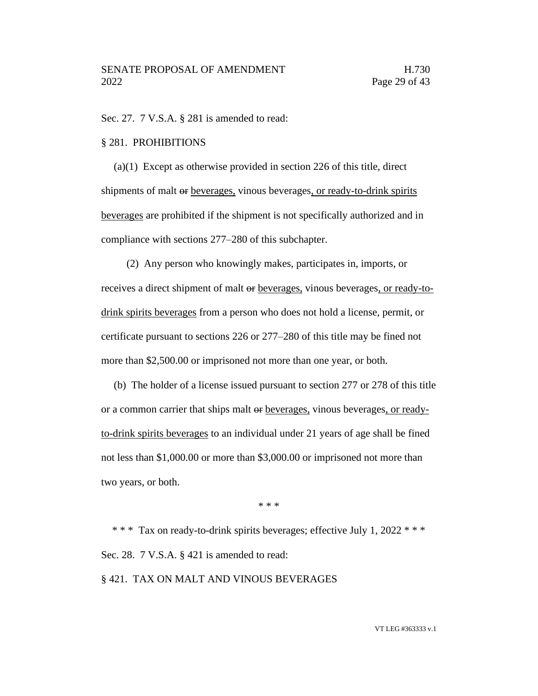Sec. 27. 7 V.S.A. § 281 is amended to read:

#### § 281. PROHIBITIONS

(a)(1) Except as otherwise provided in section 226 of this title, direct shipments of malt or beverages, vinous beverages, or ready-to-drink spirits beverages are prohibited if the shipment is not specifically authorized and in compliance with sections 277–280 of this subchapter.

(2) Any person who knowingly makes, participates in, imports, or receives a direct shipment of malt or beverages, vinous beverages, or ready-todrink spirits beverages from a person who does not hold a license, permit, or certificate pursuant to sections 226 or 277–280 of this title may be fined not more than \$2,500.00 or imprisoned not more than one year, or both.

(b) The holder of a license issued pursuant to section 277 or 278 of this title or a common carrier that ships malt or beverages, vinous beverages, or readyto-drink spirits beverages to an individual under 21 years of age shall be fined not less than \$1,000.00 or more than \$3,000.00 or imprisoned not more than two years, or both.

\* \* \*

\* \* \* Tax on ready-to-drink spirits beverages; effective July 1, 2022 \* \* \* Sec. 28. 7 V.S.A. § 421 is amended to read:

§ 421. TAX ON MALT AND VINOUS BEVERAGES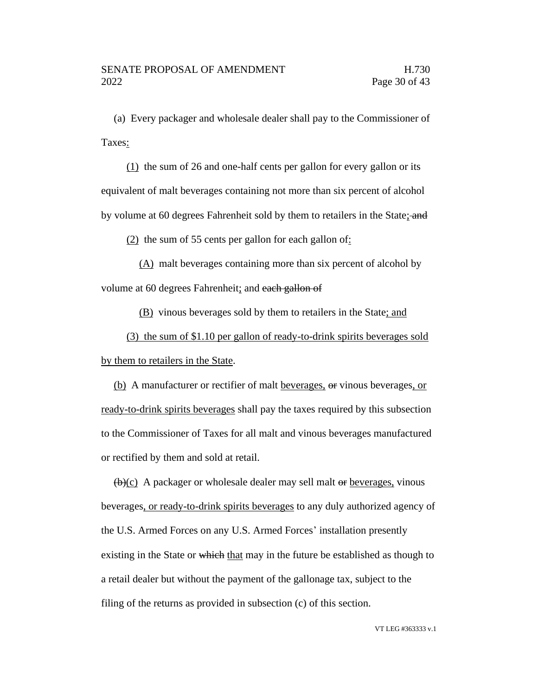(a) Every packager and wholesale dealer shall pay to the Commissioner of Taxes:

(1) the sum of 26 and one-half cents per gallon for every gallon or its equivalent of malt beverages containing not more than six percent of alcohol by volume at 60 degrees Fahrenheit sold by them to retailers in the State; and

 $(2)$  the sum of 55 cents per gallon for each gallon of:

(A) malt beverages containing more than six percent of alcohol by volume at 60 degrees Fahrenheit; and each gallon of

(B) vinous beverages sold by them to retailers in the State; and

(3) the sum of \$1.10 per gallon of ready-to-drink spirits beverages sold by them to retailers in the State.

(b) A manufacturer or rectifier of malt beverages, or vinous beverages, or ready-to-drink spirits beverages shall pay the taxes required by this subsection to the Commissioner of Taxes for all malt and vinous beverages manufactured or rectified by them and sold at retail.

 $\overline{(b)(c)}$  A packager or wholesale dealer may sell malt  $\overline{o}$  beverages, vinous beverages, or ready-to-drink spirits beverages to any duly authorized agency of the U.S. Armed Forces on any U.S. Armed Forces' installation presently existing in the State or which that may in the future be established as though to a retail dealer but without the payment of the gallonage tax, subject to the filing of the returns as provided in subsection (c) of this section.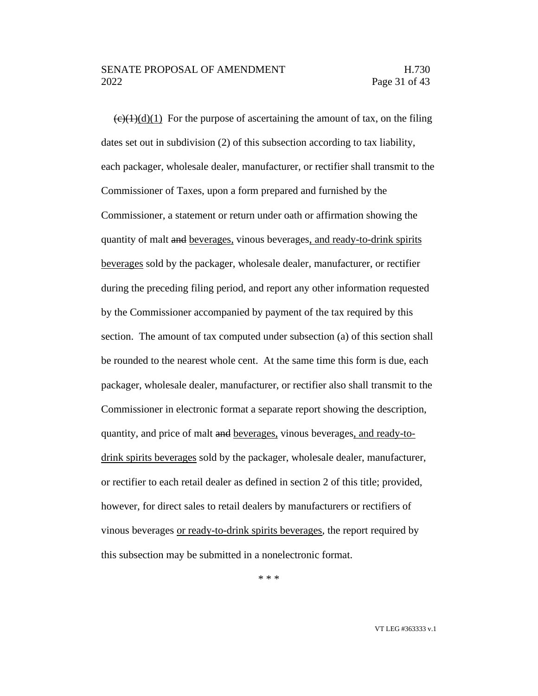# SENATE PROPOSAL OF AMENDMENT FRAMENTIES IN THE H.730 2022 Page 31 of 43

 $\left(\frac{e}{(t+1)}\right)(d)(1)$  For the purpose of ascertaining the amount of tax, on the filing dates set out in subdivision (2) of this subsection according to tax liability, each packager, wholesale dealer, manufacturer, or rectifier shall transmit to the Commissioner of Taxes, upon a form prepared and furnished by the Commissioner, a statement or return under oath or affirmation showing the quantity of malt and beverages, vinous beverages, and ready-to-drink spirits beverages sold by the packager, wholesale dealer, manufacturer, or rectifier during the preceding filing period, and report any other information requested by the Commissioner accompanied by payment of the tax required by this section. The amount of tax computed under subsection (a) of this section shall be rounded to the nearest whole cent. At the same time this form is due, each packager, wholesale dealer, manufacturer, or rectifier also shall transmit to the Commissioner in electronic format a separate report showing the description, quantity, and price of malt and beverages, vinous beverages, and ready-todrink spirits beverages sold by the packager, wholesale dealer, manufacturer, or rectifier to each retail dealer as defined in section 2 of this title; provided, however, for direct sales to retail dealers by manufacturers or rectifiers of vinous beverages or ready-to-drink spirits beverages, the report required by this subsection may be submitted in a nonelectronic format.

\* \* \*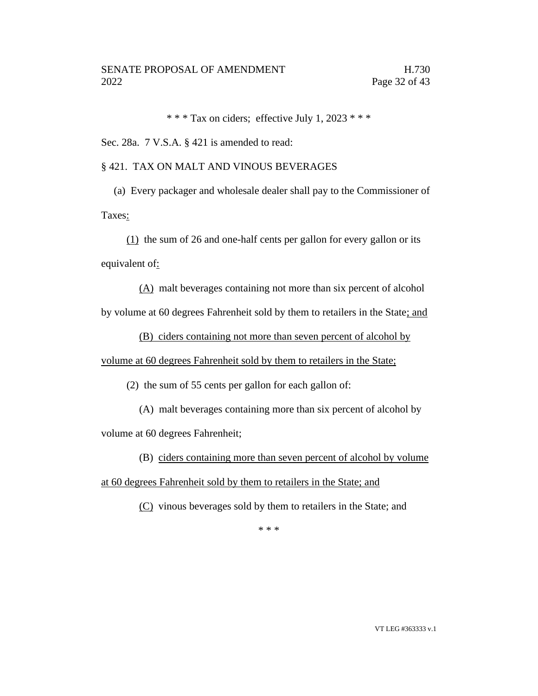\* \* \* Tax on ciders; effective July 1, 2023 \* \* \*

Sec. 28a. 7 V.S.A. § 421 is amended to read:

# § 421. TAX ON MALT AND VINOUS BEVERAGES

(a) Every packager and wholesale dealer shall pay to the Commissioner of Taxes:

(1) the sum of 26 and one-half cents per gallon for every gallon or its equivalent of:

(A) malt beverages containing not more than six percent of alcohol by volume at 60 degrees Fahrenheit sold by them to retailers in the State; and

(B) ciders containing not more than seven percent of alcohol by

volume at 60 degrees Fahrenheit sold by them to retailers in the State;

(2) the sum of 55 cents per gallon for each gallon of:

(A) malt beverages containing more than six percent of alcohol by

volume at 60 degrees Fahrenheit;

(B) ciders containing more than seven percent of alcohol by volume

at 60 degrees Fahrenheit sold by them to retailers in the State; and

(C) vinous beverages sold by them to retailers in the State; and

\* \* \*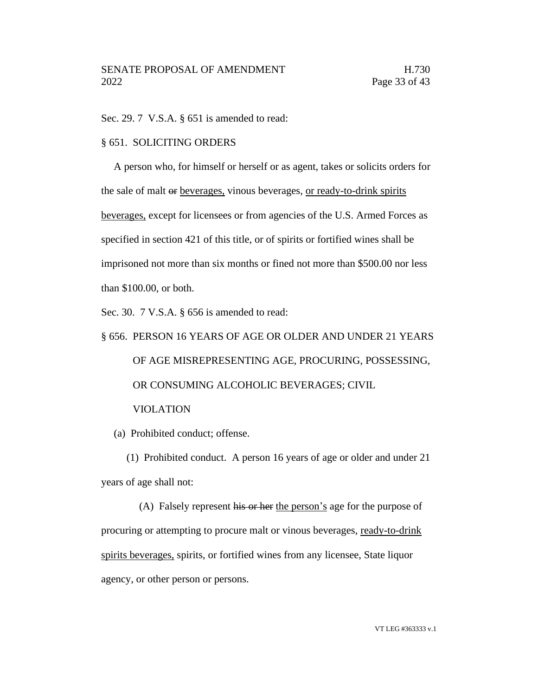Sec. 29. 7 V.S.A. § 651 is amended to read:

### § 651. SOLICITING ORDERS

A person who, for himself or herself or as agent, takes or solicits orders for the sale of malt or beverages, vinous beverages, or ready-to-drink spirits beverages, except for licensees or from agencies of the U.S. Armed Forces as specified in section 421 of this title, or of spirits or fortified wines shall be imprisoned not more than six months or fined not more than \$500.00 nor less than \$100.00, or both.

Sec. 30. 7 V.S.A. § 656 is amended to read:

# § 656. PERSON 16 YEARS OF AGE OR OLDER AND UNDER 21 YEARS OF AGE MISREPRESENTING AGE, PROCURING, POSSESSING, OR CONSUMING ALCOHOLIC BEVERAGES; CIVIL VIOLATION

(a) Prohibited conduct; offense.

(1) Prohibited conduct. A person 16 years of age or older and under 21 years of age shall not:

(A) Falsely represent his or her the person's age for the purpose of procuring or attempting to procure malt or vinous beverages, ready-to-drink spirits beverages, spirits, or fortified wines from any licensee, State liquor agency, or other person or persons.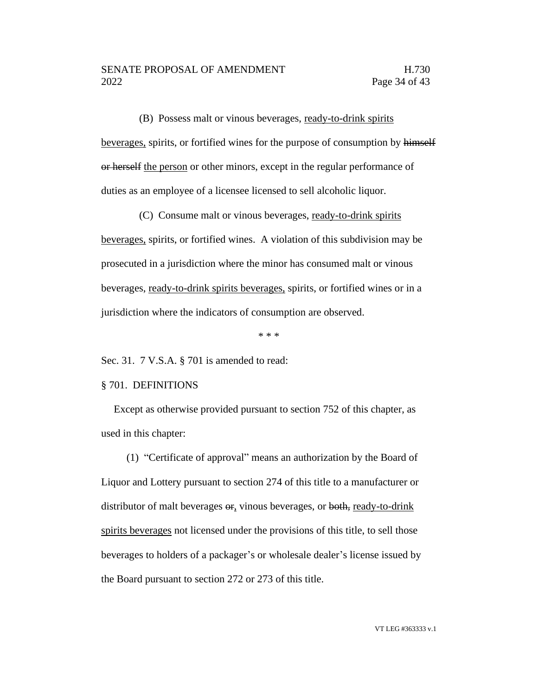(B) Possess malt or vinous beverages, ready-to-drink spirits

beverages, spirits, or fortified wines for the purpose of consumption by himself or herself the person or other minors, except in the regular performance of duties as an employee of a licensee licensed to sell alcoholic liquor.

(C) Consume malt or vinous beverages, ready-to-drink spirits beverages, spirits, or fortified wines. A violation of this subdivision may be prosecuted in a jurisdiction where the minor has consumed malt or vinous beverages, ready-to-drink spirits beverages, spirits, or fortified wines or in a jurisdiction where the indicators of consumption are observed.

\* \* \*

Sec. 31. 7 V.S.A. § 701 is amended to read:

#### § 701. DEFINITIONS

Except as otherwise provided pursuant to section 752 of this chapter, as used in this chapter:

(1) "Certificate of approval" means an authorization by the Board of Liquor and Lottery pursuant to section 274 of this title to a manufacturer or distributor of malt beverages or, vinous beverages, or both, ready-to-drink spirits beverages not licensed under the provisions of this title, to sell those beverages to holders of a packager's or wholesale dealer's license issued by the Board pursuant to section 272 or 273 of this title.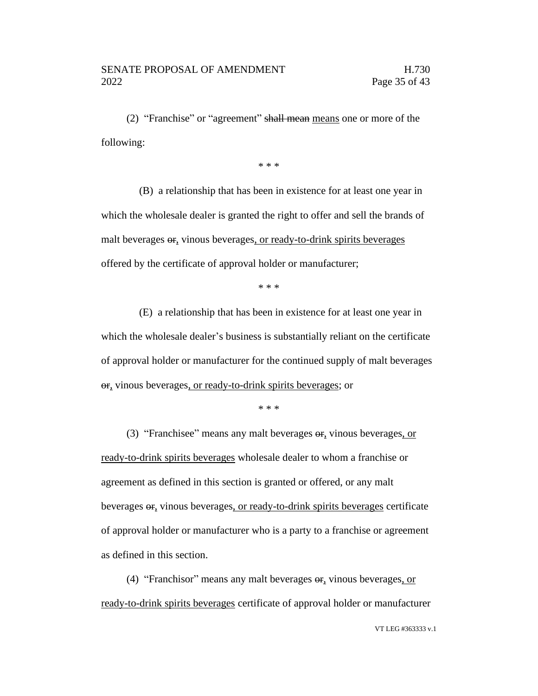(2) "Franchise" or "agreement" shall mean means one or more of the following:

\* \* \*

(B) a relationship that has been in existence for at least one year in which the wholesale dealer is granted the right to offer and sell the brands of malt beverages  $\sigma$ , vinous beverages, or ready-to-drink spirits beverages offered by the certificate of approval holder or manufacturer;

\* \* \*

(E) a relationship that has been in existence for at least one year in which the wholesale dealer's business is substantially reliant on the certificate of approval holder or manufacturer for the continued supply of malt beverages or, vinous beverages, or ready-to-drink spirits beverages; or

\* \* \*

(3) "Franchisee" means any malt beverages or, vinous beverages, or ready-to-drink spirits beverages wholesale dealer to whom a franchise or agreement as defined in this section is granted or offered, or any malt beverages or, vinous beverages, or ready-to-drink spirits beverages certificate of approval holder or manufacturer who is a party to a franchise or agreement as defined in this section.

(4) "Franchisor" means any malt beverages or, vinous beverages, or ready-to-drink spirits beverages certificate of approval holder or manufacturer

VT LEG #363333 v.1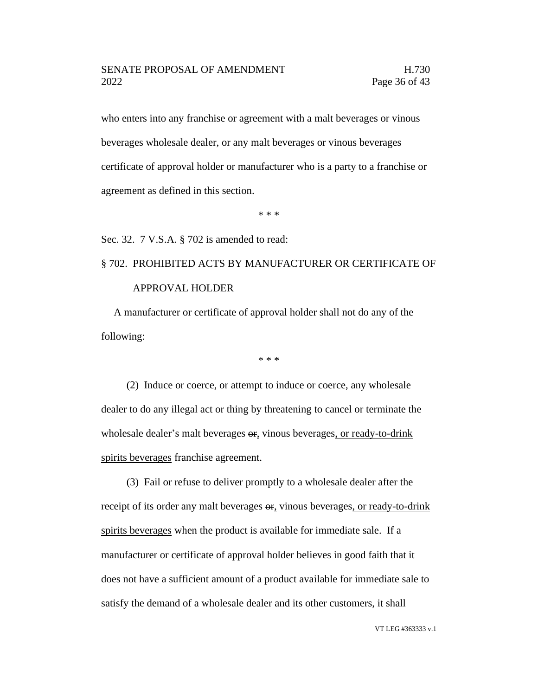who enters into any franchise or agreement with a malt beverages or vinous beverages wholesale dealer, or any malt beverages or vinous beverages certificate of approval holder or manufacturer who is a party to a franchise or agreement as defined in this section.

\* \* \*

Sec. 32. 7 V.S.A. § 702 is amended to read:

# § 702. PROHIBITED ACTS BY MANUFACTURER OR CERTIFICATE OF APPROVAL HOLDER

A manufacturer or certificate of approval holder shall not do any of the following:

\* \* \*

(2) Induce or coerce, or attempt to induce or coerce, any wholesale dealer to do any illegal act or thing by threatening to cancel or terminate the wholesale dealer's malt beverages  $\theta$ , vinous beverages, or ready-to-drink spirits beverages franchise agreement.

(3) Fail or refuse to deliver promptly to a wholesale dealer after the receipt of its order any malt beverages or, vinous beverages, or ready-to-drink spirits beverages when the product is available for immediate sale. If a manufacturer or certificate of approval holder believes in good faith that it does not have a sufficient amount of a product available for immediate sale to satisfy the demand of a wholesale dealer and its other customers, it shall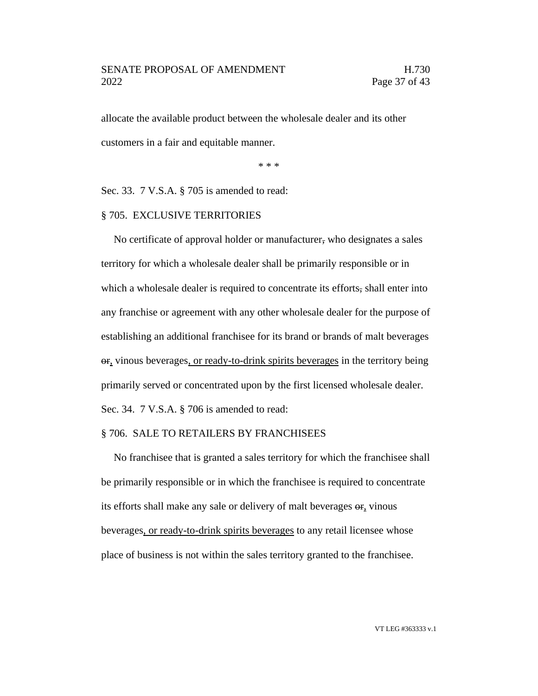allocate the available product between the wholesale dealer and its other customers in a fair and equitable manner.

\* \* \*

Sec. 33. 7 V.S.A. § 705 is amended to read:

#### § 705. EXCLUSIVE TERRITORIES

No certificate of approval holder or manufacturer, who designates a sales territory for which a wholesale dealer shall be primarily responsible or in which a wholesale dealer is required to concentrate its efforts, shall enter into any franchise or agreement with any other wholesale dealer for the purpose of establishing an additional franchisee for its brand or brands of malt beverages or, vinous beverages, or ready-to-drink spirits beverages in the territory being primarily served or concentrated upon by the first licensed wholesale dealer. Sec. 34. 7 V.S.A. § 706 is amended to read:

#### § 706. SALE TO RETAILERS BY FRANCHISEES

No franchisee that is granted a sales territory for which the franchisee shall be primarily responsible or in which the franchisee is required to concentrate its efforts shall make any sale or delivery of malt beverages or, vinous beverages, or ready-to-drink spirits beverages to any retail licensee whose place of business is not within the sales territory granted to the franchisee.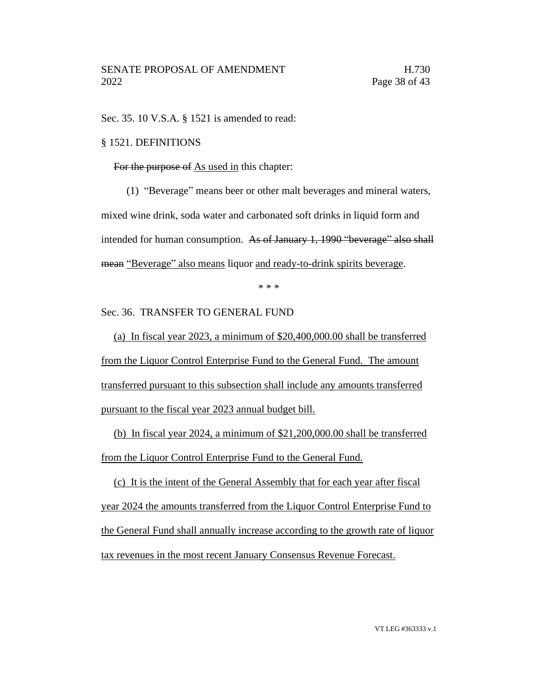Sec. 35. 10 V.S.A. § 1521 is amended to read:

# § 1521. DEFINITIONS

For the purpose of As used in this chapter:

(1) "Beverage" means beer or other malt beverages and mineral waters, mixed wine drink, soda water and carbonated soft drinks in liquid form and intended for human consumption. As of January 1, 1990 "beverage" also shall mean "Beverage" also means liquor and ready-to-drink spirits beverage.

\* \* \*

Sec. 36. TRANSFER TO GENERAL FUND

(a) In fiscal year 2023, a minimum of \$20,400,000.00 shall be transferred from the Liquor Control Enterprise Fund to the General Fund. The amount transferred pursuant to this subsection shall include any amounts transferred pursuant to the fiscal year 2023 annual budget bill.

(b) In fiscal year 2024, a minimum of \$21,200,000.00 shall be transferred from the Liquor Control Enterprise Fund to the General Fund.

(c) It is the intent of the General Assembly that for each year after fiscal year 2024 the amounts transferred from the Liquor Control Enterprise Fund to the General Fund shall annually increase according to the growth rate of liquor tax revenues in the most recent January Consensus Revenue Forecast.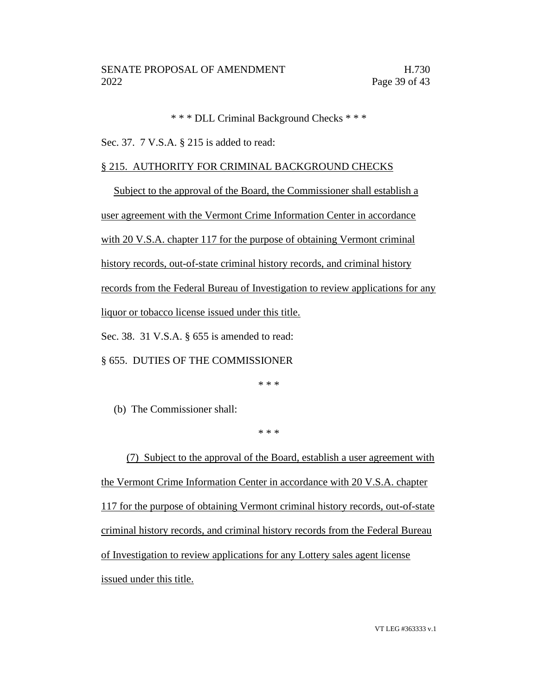\* \* \* DLL Criminal Background Checks \* \* \*

Sec. 37. 7 V.S.A. § 215 is added to read:

# § 215. AUTHORITY FOR CRIMINAL BACKGROUND CHECKS

Subject to the approval of the Board, the Commissioner shall establish a user agreement with the Vermont Crime Information Center in accordance with 20 V.S.A. chapter 117 for the purpose of obtaining Vermont criminal history records, out-of-state criminal history records, and criminal history records from the Federal Bureau of Investigation to review applications for any liquor or tobacco license issued under this title. Sec. 38. 31 V.S.A. § 655 is amended to read:

§ 655. DUTIES OF THE COMMISSIONER

\* \* \*

(b) The Commissioner shall:

\* \* \*

(7) Subject to the approval of the Board, establish a user agreement with the Vermont Crime Information Center in accordance with 20 V.S.A. chapter 117 for the purpose of obtaining Vermont criminal history records, out-of-state criminal history records, and criminal history records from the Federal Bureau of Investigation to review applications for any Lottery sales agent license issued under this title.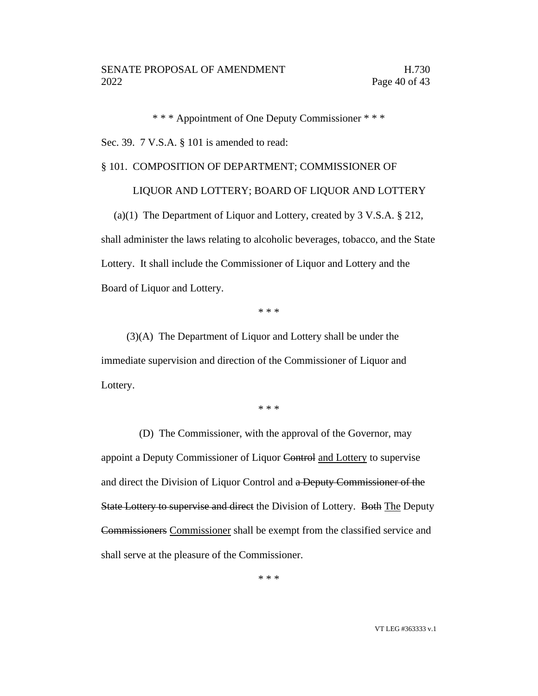\* \* \* Appointment of One Deputy Commissioner \* \* \*

Sec. 39. 7 V.S.A. § 101 is amended to read:

# § 101. COMPOSITION OF DEPARTMENT; COMMISSIONER OF

# LIQUOR AND LOTTERY; BOARD OF LIQUOR AND LOTTERY

(a)(1) The Department of Liquor and Lottery, created by 3 V.S.A. § 212, shall administer the laws relating to alcoholic beverages, tobacco, and the State Lottery. It shall include the Commissioner of Liquor and Lottery and the Board of Liquor and Lottery.

\* \* \*

(3)(A) The Department of Liquor and Lottery shall be under the immediate supervision and direction of the Commissioner of Liquor and Lottery.

\* \* \*

(D) The Commissioner, with the approval of the Governor, may appoint a Deputy Commissioner of Liquor Control and Lottery to supervise and direct the Division of Liquor Control and a Deputy Commissioner of the State Lottery to supervise and direct the Division of Lottery. Both The Deputy Commissioners Commissioner shall be exempt from the classified service and shall serve at the pleasure of the Commissioner.

\* \* \*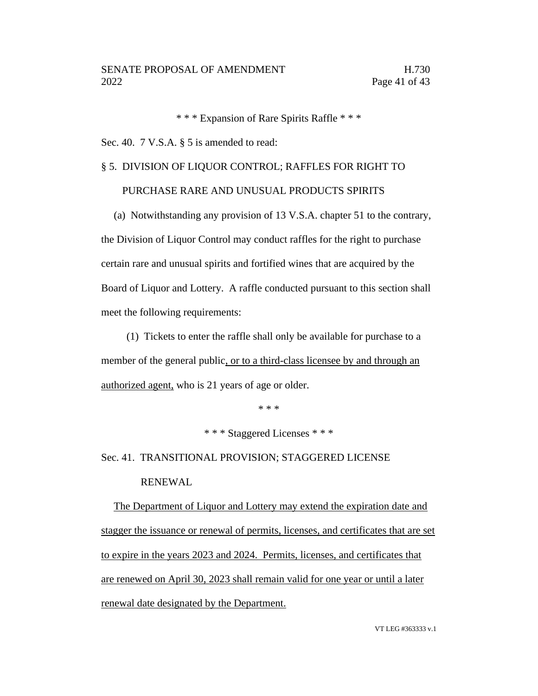\* \* \* Expansion of Rare Spirits Raffle \* \* \*

Sec. 40. 7 V.S.A. § 5 is amended to read:

# § 5. DIVISION OF LIQUOR CONTROL; RAFFLES FOR RIGHT TO

# PURCHASE RARE AND UNUSUAL PRODUCTS SPIRITS

(a) Notwithstanding any provision of 13 V.S.A. chapter 51 to the contrary, the Division of Liquor Control may conduct raffles for the right to purchase certain rare and unusual spirits and fortified wines that are acquired by the Board of Liquor and Lottery. A raffle conducted pursuant to this section shall meet the following requirements:

(1) Tickets to enter the raffle shall only be available for purchase to a member of the general public, or to a third-class licensee by and through an authorized agent, who is 21 years of age or older.

\* \* \*

\* \* \* Staggered Licenses \* \* \*

Sec. 41. TRANSITIONAL PROVISION; STAGGERED LICENSE RENEWAL

The Department of Liquor and Lottery may extend the expiration date and stagger the issuance or renewal of permits, licenses, and certificates that are set to expire in the years 2023 and 2024. Permits, licenses, and certificates that are renewed on April 30, 2023 shall remain valid for one year or until a later renewal date designated by the Department.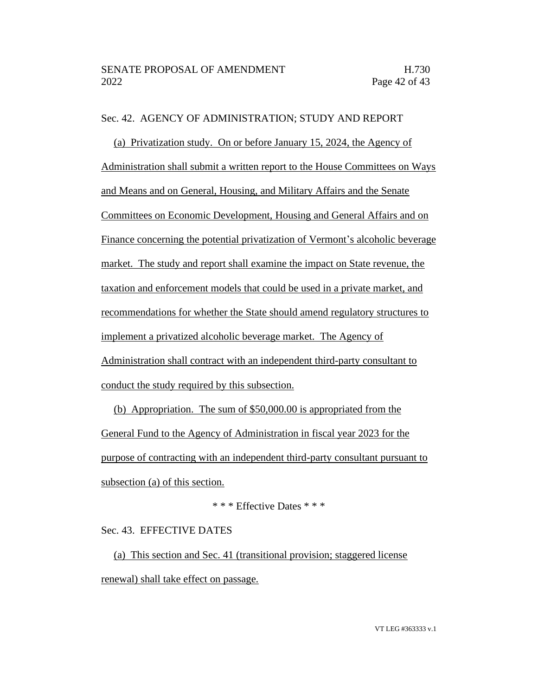# Sec. 42. AGENCY OF ADMINISTRATION; STUDY AND REPORT

(a) Privatization study. On or before January 15, 2024, the Agency of Administration shall submit a written report to the House Committees on Ways and Means and on General, Housing, and Military Affairs and the Senate Committees on Economic Development, Housing and General Affairs and on Finance concerning the potential privatization of Vermont's alcoholic beverage market. The study and report shall examine the impact on State revenue, the taxation and enforcement models that could be used in a private market, and recommendations for whether the State should amend regulatory structures to implement a privatized alcoholic beverage market. The Agency of Administration shall contract with an independent third-party consultant to conduct the study required by this subsection.

(b) Appropriation. The sum of \$50,000.00 is appropriated from the General Fund to the Agency of Administration in fiscal year 2023 for the purpose of contracting with an independent third-party consultant pursuant to subsection (a) of this section.

# \* \* \* Effective Dates \* \* \*

# Sec. 43. EFFECTIVE DATES

(a) This section and Sec. 41 (transitional provision; staggered license renewal) shall take effect on passage.